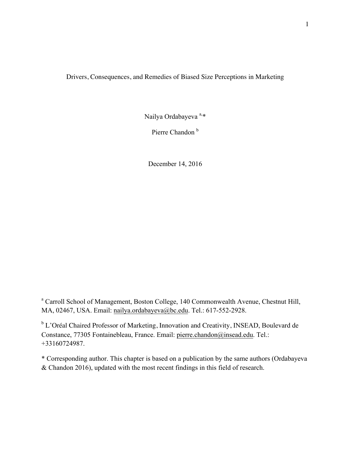Drivers, Consequences, and Remedies of Biased Size Perceptions in Marketing

Nailya Ordabayeva<sup>a,\*</sup>

Pierre Chandon<sup>b</sup>

December 14, 2016

<sup>a</sup> Carroll School of Management, Boston College, 140 Commonwealth Avenue, Chestnut Hill, MA, 02467, USA. Email: nailya.ordabayeva@bc.edu. Tel.: 617-552-2928.

<sup>b</sup> L'Oréal Chaired Professor of Marketing, Innovation and Creativity, INSEAD, Boulevard de Constance, 77305 Fontainebleau, France. Email: pierre.chandon@insead.edu. Tel.: +33160724987.

\* Corresponding author. This chapter is based on a publication by the same authors (Ordabayeva & Chandon 2016), updated with the most recent findings in this field of research.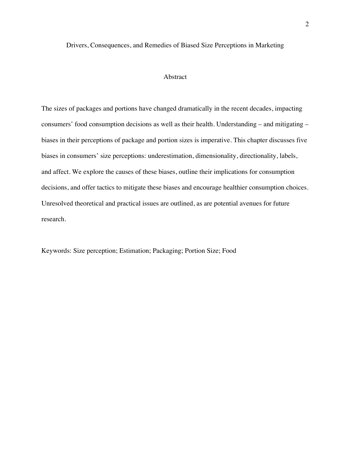Drivers, Consequences, and Remedies of Biased Size Perceptions in Marketing

#### Abstract

The sizes of packages and portions have changed dramatically in the recent decades, impacting consumers' food consumption decisions as well as their health. Understanding – and mitigating – biases in their perceptions of package and portion sizes is imperative. This chapter discusses five biases in consumers' size perceptions: underestimation, dimensionality, directionality, labels, and affect. We explore the causes of these biases, outline their implications for consumption decisions, and offer tactics to mitigate these biases and encourage healthier consumption choices. Unresolved theoretical and practical issues are outlined, as are potential avenues for future research.

Keywords: Size perception; Estimation; Packaging; Portion Size; Food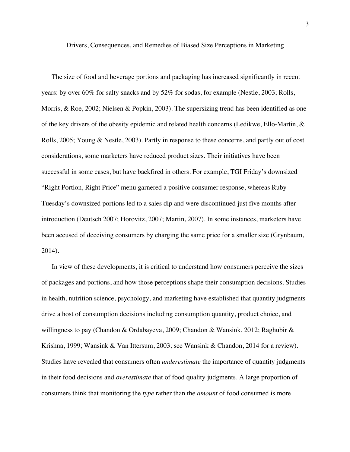Drivers, Consequences, and Remedies of Biased Size Perceptions in Marketing

The size of food and beverage portions and packaging has increased significantly in recent years: by over 60% for salty snacks and by 52% for sodas, for example (Nestle, 2003; Rolls, Morris, & Roe, 2002; Nielsen & Popkin, 2003). The supersizing trend has been identified as one of the key drivers of the obesity epidemic and related health concerns (Ledikwe, Ello-Martin, & Rolls, 2005; Young & Nestle, 2003). Partly in response to these concerns, and partly out of cost considerations, some marketers have reduced product sizes. Their initiatives have been successful in some cases, but have backfired in others. For example, TGI Friday's downsized "Right Portion, Right Price" menu garnered a positive consumer response, whereas Ruby Tuesday's downsized portions led to a sales dip and were discontinued just five months after introduction (Deutsch 2007; Horovitz, 2007; Martin, 2007). In some instances, marketers have been accused of deceiving consumers by charging the same price for a smaller size (Grynbaum, 2014).

In view of these developments, it is critical to understand how consumers perceive the sizes of packages and portions, and how those perceptions shape their consumption decisions. Studies in health, nutrition science, psychology, and marketing have established that quantity judgments drive a host of consumption decisions including consumption quantity, product choice, and willingness to pay (Chandon & Ordabayeva, 2009; Chandon & Wansink, 2012; Raghubir & Krishna, 1999; Wansink & Van Ittersum, 2003; see Wansink & Chandon, 2014 for a review). Studies have revealed that consumers often *underestimate* the importance of quantity judgments in their food decisions and *overestimate* that of food quality judgments. A large proportion of consumers think that monitoring the *type* rather than the *amount* of food consumed is more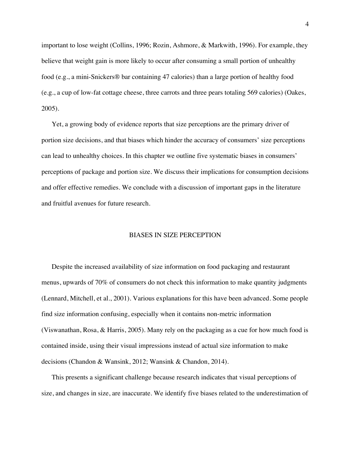important to lose weight (Collins, 1996; Rozin, Ashmore, & Markwith, 1996). For example, they believe that weight gain is more likely to occur after consuming a small portion of unhealthy food (e.g., a mini-Snickers® bar containing 47 calories) than a large portion of healthy food (e.g., a cup of low-fat cottage cheese, three carrots and three pears totaling 569 calories) (Oakes, 2005).

Yet, a growing body of evidence reports that size perceptions are the primary driver of portion size decisions, and that biases which hinder the accuracy of consumers' size perceptions can lead to unhealthy choices. In this chapter we outline five systematic biases in consumers' perceptions of package and portion size. We discuss their implications for consumption decisions and offer effective remedies. We conclude with a discussion of important gaps in the literature and fruitful avenues for future research.

#### BIASES IN SIZE PERCEPTION

Despite the increased availability of size information on food packaging and restaurant menus, upwards of 70% of consumers do not check this information to make quantity judgments (Lennard, Mitchell, et al., 2001). Various explanations for this have been advanced. Some people find size information confusing, especially when it contains non-metric information (Viswanathan, Rosa, & Harris, 2005). Many rely on the packaging as a cue for how much food is contained inside, using their visual impressions instead of actual size information to make decisions (Chandon & Wansink, 2012; Wansink & Chandon, 2014).

This presents a significant challenge because research indicates that visual perceptions of size, and changes in size, are inaccurate. We identify five biases related to the underestimation of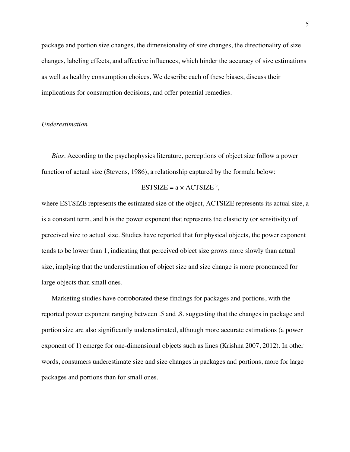package and portion size changes, the dimensionality of size changes, the directionality of size changes, labeling effects, and affective influences, which hinder the accuracy of size estimations as well as healthy consumption choices. We describe each of these biases, discuss their implications for consumption decisions, and offer potential remedies.

#### *Underestimation*

*Bias*. According to the psychophysics literature, perceptions of object size follow a power function of actual size (Stevens, 1986), a relationship captured by the formula below:

### $ESTSIZE = a \times ACTSIZE^b$ ,

where ESTSIZE represents the estimated size of the object, ACTSIZE represents its actual size, a is a constant term, and b is the power exponent that represents the elasticity (or sensitivity) of perceived size to actual size. Studies have reported that for physical objects, the power exponent tends to be lower than 1, indicating that perceived object size grows more slowly than actual size, implying that the underestimation of object size and size change is more pronounced for large objects than small ones.

Marketing studies have corroborated these findings for packages and portions, with the reported power exponent ranging between .5 and .8, suggesting that the changes in package and portion size are also significantly underestimated, although more accurate estimations (a power exponent of 1) emerge for one-dimensional objects such as lines (Krishna 2007, 2012). In other words, consumers underestimate size and size changes in packages and portions, more for large packages and portions than for small ones.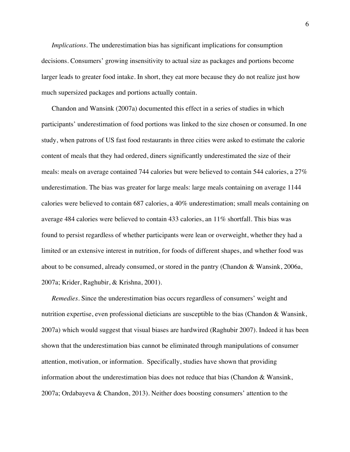*Implications*. The underestimation bias has significant implications for consumption decisions. Consumers' growing insensitivity to actual size as packages and portions become larger leads to greater food intake. In short, they eat more because they do not realize just how much supersized packages and portions actually contain.

Chandon and Wansink (2007a) documented this effect in a series of studies in which participants' underestimation of food portions was linked to the size chosen or consumed. In one study, when patrons of US fast food restaurants in three cities were asked to estimate the calorie content of meals that they had ordered, diners significantly underestimated the size of their meals: meals on average contained 744 calories but were believed to contain 544 calories, a 27% underestimation. The bias was greater for large meals: large meals containing on average 1144 calories were believed to contain 687 calories, a 40% underestimation; small meals containing on average 484 calories were believed to contain 433 calories, an 11% shortfall. This bias was found to persist regardless of whether participants were lean or overweight, whether they had a limited or an extensive interest in nutrition, for foods of different shapes, and whether food was about to be consumed, already consumed, or stored in the pantry (Chandon & Wansink, 2006a, 2007a; Krider, Raghubir, & Krishna, 2001).

*Remedies*. Since the underestimation bias occurs regardless of consumers' weight and nutrition expertise, even professional dieticians are susceptible to the bias (Chandon & Wansink, 2007a) which would suggest that visual biases are hardwired (Raghubir 2007). Indeed it has been shown that the underestimation bias cannot be eliminated through manipulations of consumer attention, motivation, or information. Specifically, studies have shown that providing information about the underestimation bias does not reduce that bias (Chandon & Wansink, 2007a; Ordabayeva & Chandon, 2013). Neither does boosting consumers' attention to the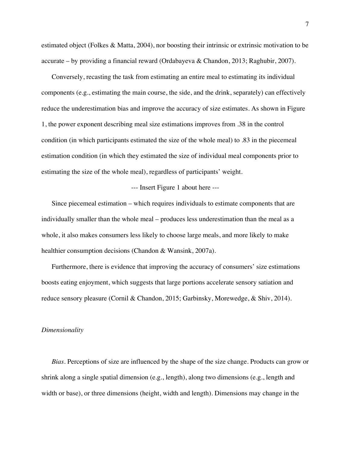estimated object (Folkes & Matta, 2004), nor boosting their intrinsic or extrinsic motivation to be accurate – by providing a financial reward (Ordabayeva & Chandon, 2013; Raghubir, 2007).

Conversely, recasting the task from estimating an entire meal to estimating its individual components (e.g., estimating the main course, the side, and the drink, separately) can effectively reduce the underestimation bias and improve the accuracy of size estimates. As shown in Figure 1, the power exponent describing meal size estimations improves from .38 in the control condition (in which participants estimated the size of the whole meal) to .83 in the piecemeal estimation condition (in which they estimated the size of individual meal components prior to estimating the size of the whole meal), regardless of participants' weight.

#### --- Insert Figure 1 about here ---

Since piecemeal estimation – which requires individuals to estimate components that are individually smaller than the whole meal – produces less underestimation than the meal as a whole, it also makes consumers less likely to choose large meals, and more likely to make healthier consumption decisions (Chandon & Wansink, 2007a).

Furthermore, there is evidence that improving the accuracy of consumers' size estimations boosts eating enjoyment, which suggests that large portions accelerate sensory satiation and reduce sensory pleasure (Cornil & Chandon, 2015; Garbinsky, Morewedge, & Shiv, 2014).

#### *Dimensionality*

*Bias.* Perceptions of size are influenced by the shape of the size change. Products can grow or shrink along a single spatial dimension (e.g., length), along two dimensions (e.g., length and width or base), or three dimensions (height, width and length). Dimensions may change in the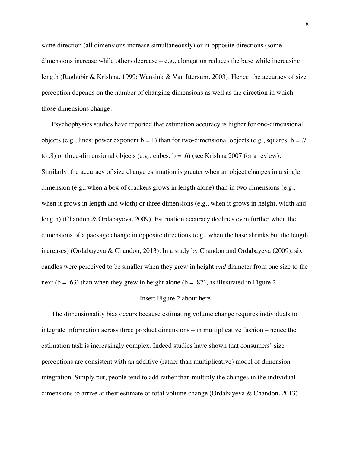same direction (all dimensions increase simultaneously) or in opposite directions (some dimensions increase while others decrease  $-e.g.,$  elongation reduces the base while increasing length (Raghubir & Krishna, 1999; Wansink & Van Ittersum, 2003). Hence, the accuracy of size perception depends on the number of changing dimensions as well as the direction in which those dimensions change.

Psychophysics studies have reported that estimation accuracy is higher for one-dimensional objects (e.g., lines: power exponent  $b = 1$ ) than for two-dimensional objects (e.g., squares:  $b = .7$ to .8) or three-dimensional objects (e.g., cubes:  $b = .6$ ) (see Krishna 2007 for a review). Similarly, the accuracy of size change estimation is greater when an object changes in a single dimension (e.g., when a box of crackers grows in length alone) than in two dimensions (e.g., when it grows in length and width) or three dimensions (e.g., when it grows in height, width and length) (Chandon & Ordabayeva, 2009). Estimation accuracy declines even further when the dimensions of a package change in opposite directions (e.g., when the base shrinks but the length increases) (Ordabayeva & Chandon, 2013). In a study by Chandon and Ordabayeva (2009), six candles were perceived to be smaller when they grew in height *and* diameter from one size to the next (b = .63) than when they grew in height alone (b = .87), as illustrated in Figure 2.

#### --- Insert Figure 2 about here ---

The dimensionality bias occurs because estimating volume change requires individuals to integrate information across three product dimensions – in multiplicative fashion – hence the estimation task is increasingly complex. Indeed studies have shown that consumers' size perceptions are consistent with an additive (rather than multiplicative) model of dimension integration. Simply put, people tend to add rather than multiply the changes in the individual dimensions to arrive at their estimate of total volume change (Ordabayeva & Chandon, 2013).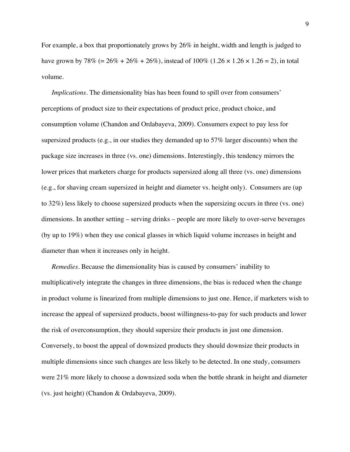For example, a box that proportionately grows by 26% in height, width and length is judged to have grown by 78% (=  $26\% + 26\% + 26\%$ ), instead of  $100\%$  (1.26  $\times$  1.26  $\times$  1.26 = 2), in total volume.

*Implications.* The dimensionality bias has been found to spill over from consumers' perceptions of product size to their expectations of product price, product choice, and consumption volume (Chandon and Ordabayeva, 2009). Consumers expect to pay less for supersized products (e.g., in our studies they demanded up to 57% larger discounts) when the package size increases in three (vs. one) dimensions. Interestingly, this tendency mirrors the lower prices that marketers charge for products supersized along all three (vs. one) dimensions (e.g., for shaving cream supersized in height and diameter vs. height only). Consumers are (up to 32%) less likely to choose supersized products when the supersizing occurs in three (vs. one) dimensions. In another setting – serving drinks – people are more likely to over-serve beverages (by up to 19%) when they use conical glasses in which liquid volume increases in height and diameter than when it increases only in height.

*Remedies.* Because the dimensionality bias is caused by consumers' inability to multiplicatively integrate the changes in three dimensions, the bias is reduced when the change in product volume is linearized from multiple dimensions to just one. Hence, if marketers wish to increase the appeal of supersized products, boost willingness-to-pay for such products and lower the risk of overconsumption, they should supersize their products in just one dimension. Conversely, to boost the appeal of downsized products they should downsize their products in multiple dimensions since such changes are less likely to be detected. In one study, consumers were 21% more likely to choose a downsized soda when the bottle shrank in height and diameter (vs. just height) (Chandon & Ordabayeva, 2009).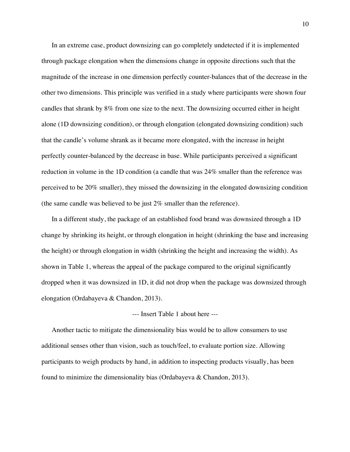In an extreme case, product downsizing can go completely undetected if it is implemented through package elongation when the dimensions change in opposite directions such that the magnitude of the increase in one dimension perfectly counter-balances that of the decrease in the other two dimensions. This principle was verified in a study where participants were shown four candles that shrank by 8% from one size to the next. The downsizing occurred either in height alone (1D downsizing condition), or through elongation (elongated downsizing condition) such that the candle's volume shrank as it became more elongated, with the increase in height perfectly counter-balanced by the decrease in base. While participants perceived a significant reduction in volume in the 1D condition (a candle that was 24% smaller than the reference was perceived to be 20% smaller), they missed the downsizing in the elongated downsizing condition (the same candle was believed to be just 2% smaller than the reference).

In a different study, the package of an established food brand was downsized through a 1D change by shrinking its height, or through elongation in height (shrinking the base and increasing the height) or through elongation in width (shrinking the height and increasing the width). As shown in Table 1, whereas the appeal of the package compared to the original significantly dropped when it was downsized in 1D, it did not drop when the package was downsized through elongation (Ordabayeva & Chandon, 2013).

#### --- Insert Table 1 about here ---

Another tactic to mitigate the dimensionality bias would be to allow consumers to use additional senses other than vision, such as touch/feel, to evaluate portion size. Allowing participants to weigh products by hand, in addition to inspecting products visually, has been found to minimize the dimensionality bias (Ordabayeva & Chandon, 2013).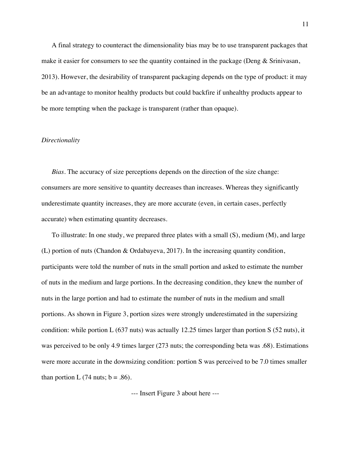A final strategy to counteract the dimensionality bias may be to use transparent packages that make it easier for consumers to see the quantity contained in the package (Deng & Srinivasan, 2013). However, the desirability of transparent packaging depends on the type of product: it may be an advantage to monitor healthy products but could backfire if unhealthy products appear to be more tempting when the package is transparent (rather than opaque).

#### *Directionality*

*Bias*. The accuracy of size perceptions depends on the direction of the size change: consumers are more sensitive to quantity decreases than increases. Whereas they significantly underestimate quantity increases, they are more accurate (even, in certain cases, perfectly accurate) when estimating quantity decreases.

To illustrate: In one study, we prepared three plates with a small (S), medium (M), and large (L) portion of nuts (Chandon & Ordabayeva, 2017). In the increasing quantity condition, participants were told the number of nuts in the small portion and asked to estimate the number of nuts in the medium and large portions. In the decreasing condition, they knew the number of nuts in the large portion and had to estimate the number of nuts in the medium and small portions. As shown in Figure 3, portion sizes were strongly underestimated in the supersizing condition: while portion L (637 nuts) was actually 12.25 times larger than portion S (52 nuts), it was perceived to be only 4.9 times larger (273 nuts; the corresponding beta was .68). Estimations were more accurate in the downsizing condition: portion S was perceived to be 7.0 times smaller than portion L (74 nuts;  $b = .86$ ).

--- Insert Figure 3 about here ---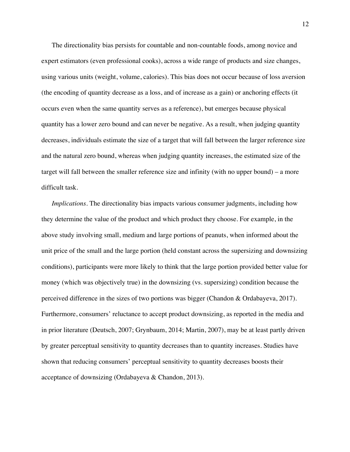The directionality bias persists for countable and non-countable foods, among novice and expert estimators (even professional cooks), across a wide range of products and size changes, using various units (weight, volume, calories). This bias does not occur because of loss aversion (the encoding of quantity decrease as a loss, and of increase as a gain) or anchoring effects (it occurs even when the same quantity serves as a reference), but emerges because physical quantity has a lower zero bound and can never be negative. As a result, when judging quantity decreases, individuals estimate the size of a target that will fall between the larger reference size and the natural zero bound, whereas when judging quantity increases, the estimated size of the target will fall between the smaller reference size and infinity (with no upper bound) – a more difficult task.

*Implications*. The directionality bias impacts various consumer judgments, including how they determine the value of the product and which product they choose. For example, in the above study involving small, medium and large portions of peanuts, when informed about the unit price of the small and the large portion (held constant across the supersizing and downsizing conditions), participants were more likely to think that the large portion provided better value for money (which was objectively true) in the downsizing (vs. supersizing) condition because the perceived difference in the sizes of two portions was bigger (Chandon & Ordabayeva, 2017). Furthermore, consumers' reluctance to accept product downsizing, as reported in the media and in prior literature (Deutsch, 2007; Grynbaum, 2014; Martin, 2007), may be at least partly driven by greater perceptual sensitivity to quantity decreases than to quantity increases. Studies have shown that reducing consumers' perceptual sensitivity to quantity decreases boosts their acceptance of downsizing (Ordabayeva & Chandon, 2013).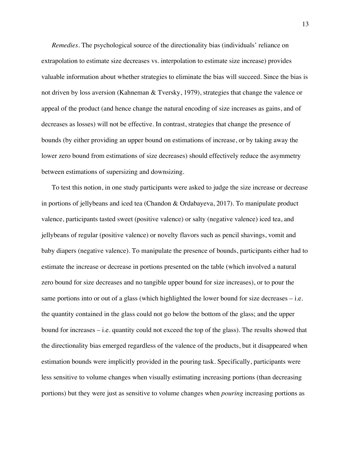*Remedies*. The psychological source of the directionality bias (individuals' reliance on extrapolation to estimate size decreases vs. interpolation to estimate size increase) provides valuable information about whether strategies to eliminate the bias will succeed. Since the bias is not driven by loss aversion (Kahneman & Tversky, 1979), strategies that change the valence or appeal of the product (and hence change the natural encoding of size increases as gains, and of decreases as losses) will not be effective. In contrast, strategies that change the presence of bounds (by either providing an upper bound on estimations of increase, or by taking away the lower zero bound from estimations of size decreases) should effectively reduce the asymmetry between estimations of supersizing and downsizing.

To test this notion, in one study participants were asked to judge the size increase or decrease in portions of jellybeans and iced tea (Chandon & Ordabayeva, 2017). To manipulate product valence, participants tasted sweet (positive valence) or salty (negative valence) iced tea, and jellybeans of regular (positive valence) or novelty flavors such as pencil shavings, vomit and baby diapers (negative valence). To manipulate the presence of bounds, participants either had to estimate the increase or decrease in portions presented on the table (which involved a natural zero bound for size decreases and no tangible upper bound for size increases), or to pour the same portions into or out of a glass (which highlighted the lower bound for size decreases – i.e. the quantity contained in the glass could not go below the bottom of the glass; and the upper bound for increases – i.e. quantity could not exceed the top of the glass). The results showed that the directionality bias emerged regardless of the valence of the products, but it disappeared when estimation bounds were implicitly provided in the pouring task. Specifically, participants were less sensitive to volume changes when visually estimating increasing portions (than decreasing portions) but they were just as sensitive to volume changes when *pouring* increasing portions as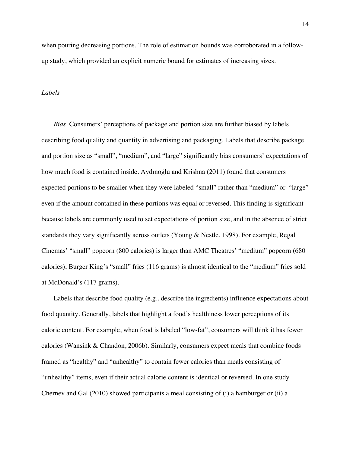when pouring decreasing portions. The role of estimation bounds was corroborated in a followup study, which provided an explicit numeric bound for estimates of increasing sizes.

#### *Labels*

*Bias.* Consumers' perceptions of package and portion size are further biased by labels describing food quality and quantity in advertising and packaging. Labels that describe package and portion size as "small", "medium", and "large" significantly bias consumers' expectations of how much food is contained inside. Aydınoğlu and Krishna (2011) found that consumers expected portions to be smaller when they were labeled "small" rather than "medium" or "large" even if the amount contained in these portions was equal or reversed. This finding is significant because labels are commonly used to set expectations of portion size, and in the absence of strict standards they vary significantly across outlets (Young & Nestle, 1998). For example, Regal Cinemas' "small" popcorn (800 calories) is larger than AMC Theatres' "medium" popcorn (680 calories); Burger King's "small" fries (116 grams) is almost identical to the "medium" fries sold at McDonald's (117 grams).

Labels that describe food quality (e.g., describe the ingredients) influence expectations about food quantity. Generally, labels that highlight a food's healthiness lower perceptions of its calorie content. For example, when food is labeled "low-fat", consumers will think it has fewer calories (Wansink & Chandon, 2006b). Similarly, consumers expect meals that combine foods framed as "healthy" and "unhealthy" to contain fewer calories than meals consisting of "unhealthy" items, even if their actual calorie content is identical or reversed. In one study Chernev and Gal (2010) showed participants a meal consisting of (i) a hamburger or (ii) a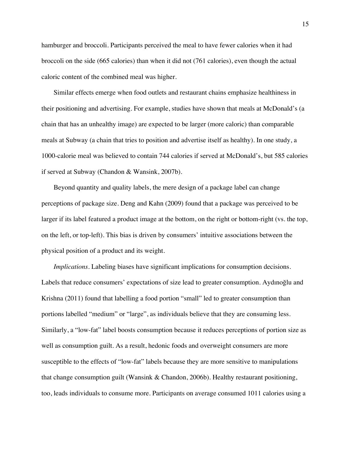hamburger and broccoli. Participants perceived the meal to have fewer calories when it had broccoli on the side (665 calories) than when it did not (761 calories), even though the actual caloric content of the combined meal was higher.

Similar effects emerge when food outlets and restaurant chains emphasize healthiness in their positioning and advertising. For example, studies have shown that meals at McDonald's (a chain that has an unhealthy image) are expected to be larger (more caloric) than comparable meals at Subway (a chain that tries to position and advertise itself as healthy). In one study, a 1000-calorie meal was believed to contain 744 calories if served at McDonald's, but 585 calories if served at Subway (Chandon & Wansink, 2007b).

Beyond quantity and quality labels, the mere design of a package label can change perceptions of package size. Deng and Kahn (2009) found that a package was perceived to be larger if its label featured a product image at the bottom, on the right or bottom-right (vs. the top, on the left, or top-left). This bias is driven by consumers' intuitive associations between the physical position of a product and its weight.

*Implications.* Labeling biases have significant implications for consumption decisions. Labels that reduce consumers' expectations of size lead to greater consumption. Aydınoğlu and Krishna (2011) found that labelling a food portion "small" led to greater consumption than portions labelled "medium" or "large", as individuals believe that they are consuming less. Similarly, a "low-fat" label boosts consumption because it reduces perceptions of portion size as well as consumption guilt. As a result, hedonic foods and overweight consumers are more susceptible to the effects of "low-fat" labels because they are more sensitive to manipulations that change consumption guilt (Wansink & Chandon, 2006b). Healthy restaurant positioning, too, leads individuals to consume more. Participants on average consumed 1011 calories using a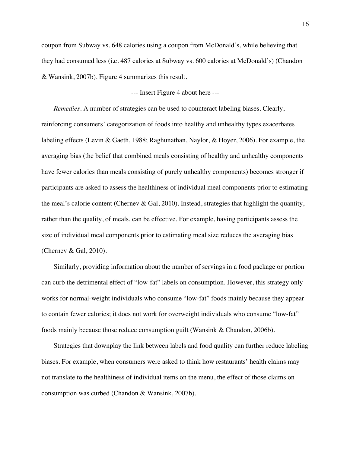coupon from Subway vs. 648 calories using a coupon from McDonald's, while believing that they had consumed less (i.e. 487 calories at Subway vs. 600 calories at McDonald's) (Chandon & Wansink, 2007b). Figure 4 summarizes this result.

--- Insert Figure 4 about here ---

*Remedies.* A number of strategies can be used to counteract labeling biases. Clearly, reinforcing consumers' categorization of foods into healthy and unhealthy types exacerbates labeling effects (Levin & Gaeth, 1988; Raghunathan, Naylor, & Hoyer, 2006). For example, the averaging bias (the belief that combined meals consisting of healthy and unhealthy components have fewer calories than meals consisting of purely unhealthy components) becomes stronger if participants are asked to assess the healthiness of individual meal components prior to estimating the meal's calorie content (Chernev & Gal, 2010). Instead, strategies that highlight the quantity, rather than the quality, of meals, can be effective. For example, having participants assess the size of individual meal components prior to estimating meal size reduces the averaging bias (Chernev & Gal, 2010).

Similarly, providing information about the number of servings in a food package or portion can curb the detrimental effect of "low-fat" labels on consumption. However, this strategy only works for normal-weight individuals who consume "low-fat" foods mainly because they appear to contain fewer calories; it does not work for overweight individuals who consume "low-fat" foods mainly because those reduce consumption guilt (Wansink & Chandon, 2006b).

Strategies that downplay the link between labels and food quality can further reduce labeling biases. For example, when consumers were asked to think how restaurants' health claims may not translate to the healthiness of individual items on the menu, the effect of those claims on consumption was curbed (Chandon & Wansink, 2007b).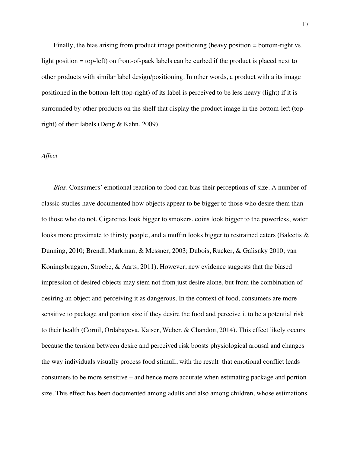Finally, the bias arising from product image positioning (heavy position = bottom-right vs. light position = top-left) on front-of-pack labels can be curbed if the product is placed next to other products with similar label design/positioning. In other words, a product with a its image positioned in the bottom-left (top-right) of its label is perceived to be less heavy (light) if it is surrounded by other products on the shelf that display the product image in the bottom-left (topright) of their labels (Deng & Kahn, 2009).

#### *Affect*

*Bias.* Consumers' emotional reaction to food can bias their perceptions of size. A number of classic studies have documented how objects appear to be bigger to those who desire them than to those who do not. Cigarettes look bigger to smokers, coins look bigger to the powerless, water looks more proximate to thirsty people, and a muffin looks bigger to restrained eaters (Balcetis & Dunning, 2010; Brendl, Markman, & Messner, 2003; Dubois, Rucker, & Galisnky 2010; van Koningsbruggen, Stroebe, & Aarts, 2011). However, new evidence suggests that the biased impression of desired objects may stem not from just desire alone, but from the combination of desiring an object and perceiving it as dangerous. In the context of food, consumers are more sensitive to package and portion size if they desire the food and perceive it to be a potential risk to their health (Cornil, Ordabayeva, Kaiser, Weber, & Chandon, 2014). This effect likely occurs because the tension between desire and perceived risk boosts physiological arousal and changes the way individuals visually process food stimuli, with the result that emotional conflict leads consumers to be more sensitive – and hence more accurate when estimating package and portion size. This effect has been documented among adults and also among children, whose estimations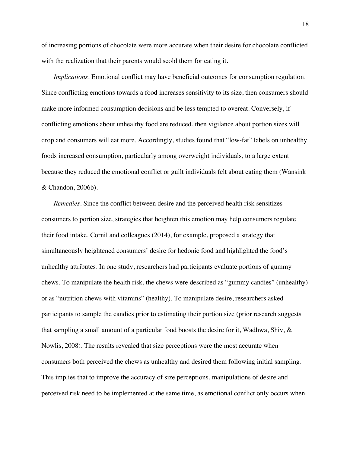of increasing portions of chocolate were more accurate when their desire for chocolate conflicted with the realization that their parents would scold them for eating it.

*Implications.* Emotional conflict may have beneficial outcomes for consumption regulation. Since conflicting emotions towards a food increases sensitivity to its size, then consumers should make more informed consumption decisions and be less tempted to overeat. Conversely, if conflicting emotions about unhealthy food are reduced, then vigilance about portion sizes will drop and consumers will eat more. Accordingly, studies found that "low-fat" labels on unhealthy foods increased consumption, particularly among overweight individuals, to a large extent because they reduced the emotional conflict or guilt individuals felt about eating them (Wansink & Chandon, 2006b).

*Remedies.* Since the conflict between desire and the perceived health risk sensitizes consumers to portion size, strategies that heighten this emotion may help consumers regulate their food intake. Cornil and colleagues (2014), for example, proposed a strategy that simultaneously heightened consumers' desire for hedonic food and highlighted the food's unhealthy attributes. In one study, researchers had participants evaluate portions of gummy chews. To manipulate the health risk, the chews were described as "gummy candies" (unhealthy) or as "nutrition chews with vitamins" (healthy). To manipulate desire, researchers asked participants to sample the candies prior to estimating their portion size (prior research suggests that sampling a small amount of a particular food boosts the desire for it, Wadhwa, Shiv, & Nowlis, 2008). The results revealed that size perceptions were the most accurate when consumers both perceived the chews as unhealthy and desired them following initial sampling. This implies that to improve the accuracy of size perceptions, manipulations of desire and perceived risk need to be implemented at the same time, as emotional conflict only occurs when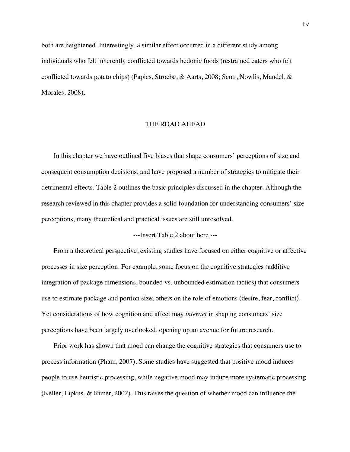both are heightened. Interestingly, a similar effect occurred in a different study among individuals who felt inherently conflicted towards hedonic foods (restrained eaters who felt conflicted towards potato chips) (Papies, Stroebe, & Aarts, 2008; Scott, Nowlis, Mandel, & Morales, 2008).

#### THE ROAD AHEAD

In this chapter we have outlined five biases that shape consumers' perceptions of size and consequent consumption decisions, and have proposed a number of strategies to mitigate their detrimental effects. Table 2 outlines the basic principles discussed in the chapter. Although the research reviewed in this chapter provides a solid foundation for understanding consumers' size perceptions, many theoretical and practical issues are still unresolved.

---Insert Table 2 about here ---

From a theoretical perspective, existing studies have focused on either cognitive or affective processes in size perception. For example, some focus on the cognitive strategies (additive integration of package dimensions, bounded vs. unbounded estimation tactics) that consumers use to estimate package and portion size; others on the role of emotions (desire, fear, conflict). Yet considerations of how cognition and affect may *interact* in shaping consumers' size perceptions have been largely overlooked, opening up an avenue for future research.

Prior work has shown that mood can change the cognitive strategies that consumers use to process information (Pham, 2007). Some studies have suggested that positive mood induces people to use heuristic processing, while negative mood may induce more systematic processing (Keller, Lipkus, & Rimer, 2002). This raises the question of whether mood can influence the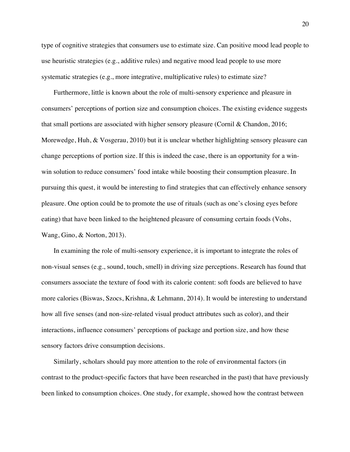type of cognitive strategies that consumers use to estimate size. Can positive mood lead people to use heuristic strategies (e.g., additive rules) and negative mood lead people to use more systematic strategies (e.g., more integrative, multiplicative rules) to estimate size?

Furthermore, little is known about the role of multi-sensory experience and pleasure in consumers' perceptions of portion size and consumption choices. The existing evidence suggests that small portions are associated with higher sensory pleasure (Cornil & Chandon, 2016; Morewedge, Huh, & Vosgerau, 2010) but it is unclear whether highlighting sensory pleasure can change perceptions of portion size. If this is indeed the case, there is an opportunity for a winwin solution to reduce consumers' food intake while boosting their consumption pleasure. In pursuing this quest, it would be interesting to find strategies that can effectively enhance sensory pleasure. One option could be to promote the use of rituals (such as one's closing eyes before eating) that have been linked to the heightened pleasure of consuming certain foods (Vohs, Wang, Gino, & Norton, 2013).

In examining the role of multi-sensory experience, it is important to integrate the roles of non-visual senses (e.g., sound, touch, smell) in driving size perceptions. Research has found that consumers associate the texture of food with its calorie content: soft foods are believed to have more calories (Biswas, Szocs, Krishna, & Lehmann, 2014). It would be interesting to understand how all five senses (and non-size-related visual product attributes such as color), and their interactions, influence consumers' perceptions of package and portion size, and how these sensory factors drive consumption decisions.

Similarly, scholars should pay more attention to the role of environmental factors (in contrast to the product-specific factors that have been researched in the past) that have previously been linked to consumption choices. One study, for example, showed how the contrast between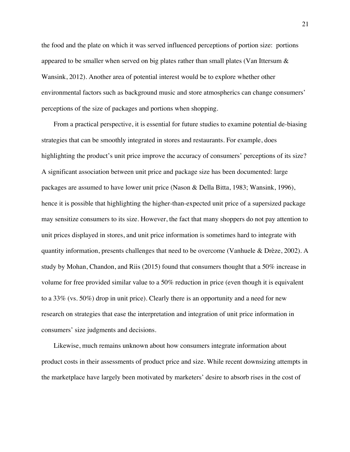the food and the plate on which it was served influenced perceptions of portion size: portions appeared to be smaller when served on big plates rather than small plates (Van Ittersum  $\&$ Wansink, 2012). Another area of potential interest would be to explore whether other environmental factors such as background music and store atmospherics can change consumers' perceptions of the size of packages and portions when shopping.

From a practical perspective, it is essential for future studies to examine potential de-biasing strategies that can be smoothly integrated in stores and restaurants. For example, does highlighting the product's unit price improve the accuracy of consumers' perceptions of its size? A significant association between unit price and package size has been documented: large packages are assumed to have lower unit price (Nason & Della Bitta, 1983; Wansink, 1996), hence it is possible that highlighting the higher-than-expected unit price of a supersized package may sensitize consumers to its size. However, the fact that many shoppers do not pay attention to unit prices displayed in stores, and unit price information is sometimes hard to integrate with quantity information, presents challenges that need to be overcome (Vanhuele & Drèze, 2002). A study by Mohan, Chandon, and Riis (2015) found that consumers thought that a 50% increase in volume for free provided similar value to a 50% reduction in price (even though it is equivalent to a 33% (vs. 50%) drop in unit price). Clearly there is an opportunity and a need for new research on strategies that ease the interpretation and integration of unit price information in consumers' size judgments and decisions.

Likewise, much remains unknown about how consumers integrate information about product costs in their assessments of product price and size. While recent downsizing attempts in the marketplace have largely been motivated by marketers' desire to absorb rises in the cost of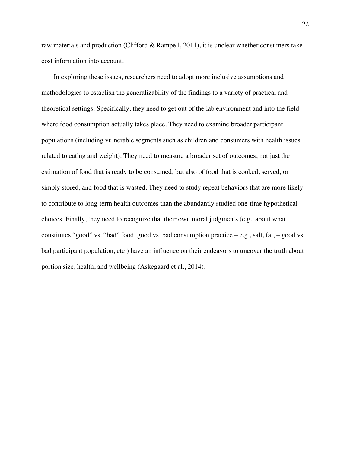raw materials and production (Clifford & Rampell, 2011), it is unclear whether consumers take cost information into account.

In exploring these issues, researchers need to adopt more inclusive assumptions and methodologies to establish the generalizability of the findings to a variety of practical and theoretical settings. Specifically, they need to get out of the lab environment and into the field – where food consumption actually takes place. They need to examine broader participant populations (including vulnerable segments such as children and consumers with health issues related to eating and weight). They need to measure a broader set of outcomes, not just the estimation of food that is ready to be consumed, but also of food that is cooked, served, or simply stored, and food that is wasted. They need to study repeat behaviors that are more likely to contribute to long-term health outcomes than the abundantly studied one-time hypothetical choices. Finally, they need to recognize that their own moral judgments (e.g., about what constitutes "good" vs. "bad" food, good vs. bad consumption practice  $-e.g.,$  salt, fat,  $-$  good vs. bad participant population, etc.) have an influence on their endeavors to uncover the truth about portion size, health, and wellbeing (Askegaard et al., 2014).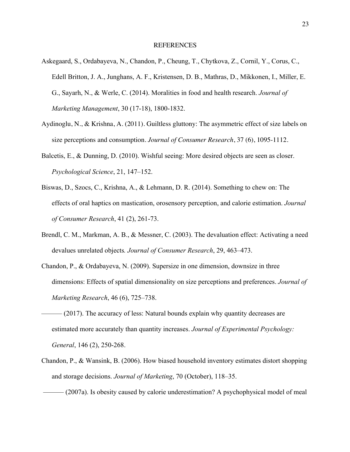#### REFERENCES

- Askegaard, S., Ordabayeva, N., Chandon, P., Cheung, T., Chytkova, Z., Cornil, Y., Corus, C., Edell Britton, J. A., Junghans, A. F., Kristensen, D. B., Mathras, D., Mikkonen, I., Miller, E. G., Sayarh, N., & Werle, C. (2014). Moralities in food and health research. *Journal of Marketing Management*, 30 (17-18), 1800-1832.
- Aydinoglu, N., & Krishna, A. (2011). Guiltless gluttony: The asymmetric effect of size labels on size perceptions and consumption. *Journal of Consumer Research*, 37 (6), 1095-1112.
- Balcetis, E., & Dunning, D. (2010). Wishful seeing: More desired objects are seen as closer. *Psychological Science*, 21, 147–152.
- Biswas, D., Szocs, C., Krishna, A., & Lehmann, D. R. (2014). Something to chew on: The effects of oral haptics on mastication, orosensory perception, and calorie estimation. *Journal of Consumer Research*, 41 (2), 261-73.
- Brendl, C. M., Markman, A. B., & Messner, C. (2003). The devaluation effect: Activating a need devalues unrelated objects*. Journal of Consumer Research*, 29, 463–473.
- Chandon, P., & Ordabayeva, N. (2009). Supersize in one dimension, downsize in three dimensions: Effects of spatial dimensionality on size perceptions and preferences. *Journal of Marketing Research*, 46 (6), 725–738.
- $-$  (2017). The accuracy of less: Natural bounds explain why quantity decreases are estimated more accurately than quantity increases. *Journal of Experimental Psychology: General*, 146 (2), 250-268.
- Chandon, P., & Wansink, B. (2006). How biased household inventory estimates distort shopping and storage decisions. *Journal of Marketing*, 70 (October), 118–35.

 $-$  (2007a). Is obesity caused by calorie underestimation? A psychophysical model of meal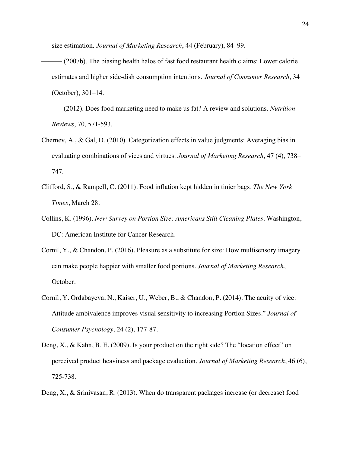size estimation. *Journal of Marketing Research*, 44 (February), 84–99.

- $-(2007b)$ . The biasing health halos of fast food restaurant health claims: Lower calorie estimates and higher side-dish consumption intentions. *Journal of Consumer Research*, 34 (October), 301–14.
- ——— (2012). Does food marketing need to make us fat? A review and solutions. *Nutrition Reviews*, 70, 571-593.
- Chernev, A., & Gal, D. (2010). Categorization effects in value judgments: Averaging bias in evaluating combinations of vices and virtues. *Journal of Marketing Research*, 47 (4), 738– 747.
- Clifford, S., & Rampell, C. (2011). Food inflation kept hidden in tinier bags. *The New York Times*, March 28.
- Collins, K. (1996). *New Survey on Portion Size: Americans Still Cleaning Plates*. Washington, DC: American Institute for Cancer Research.
- Cornil, Y., & Chandon, P. (2016). Pleasure as a substitute for size: How multisensory imagery can make people happier with smaller food portions. *Journal of Marketing Research*, October.
- Cornil, Y. Ordabayeva, N., Kaiser, U., Weber, B., & Chandon, P. (2014). The acuity of vice: Attitude ambivalence improves visual sensitivity to increasing Portion Sizes." *Journal of Consumer Psychology*, 24 (2), 177-87.
- Deng, X., & Kahn, B. E. (2009). Is your product on the right side? The "location effect" on perceived product heaviness and package evaluation. *Journal of Marketing Research*, 46 (6), 725-738.
- Deng, X., & Srinivasan, R. (2013). When do transparent packages increase (or decrease) food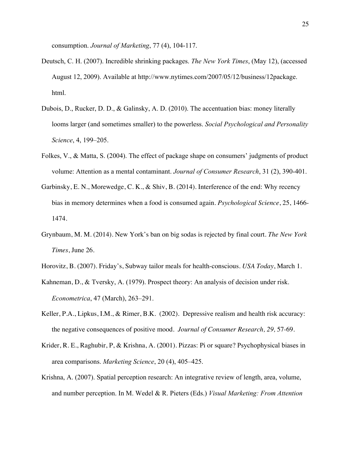consumption. *Journal of Marketing*, 77 (4), 104-117.

- Deutsch, C. H. (2007). Incredible shrinking packages. *The New York Times*, (May 12), (accessed August 12, 2009). Available at http://www.nytimes.com/2007/05/12/business/12package. html.
- Dubois, D., Rucker, D. D., & Galinsky, A. D. (2010). The accentuation bias: money literally looms larger (and sometimes smaller) to the powerless. *Social Psychological and Personality Science*, 4, 199–205.
- Folkes, V., & Matta, S. (2004). The effect of package shape on consumers' judgments of product volume: Attention as a mental contaminant. *Journal of Consumer Research*, 31 (2), 390-401.
- Garbinsky, E. N., Morewedge, C. K., & Shiv, B. (2014). Interference of the end: Why recency bias in memory determines when a food is consumed again. *Psychological Science*, 25, 1466- 1474.
- Grynbaum, M. M. (2014). New York's ban on big sodas is rejected by final court. *The New York Times*, June 26.
- Horovitz, B. (2007). Friday's, Subway tailor meals for health-conscious. *USA Today*, March 1.
- Kahneman, D., & Tversky, A. (1979). Prospect theory: An analysis of decision under risk. *Econometrica*, 47 (March), 263–291.
- Keller, P.A., Lipkus, I.M., & Rimer, B.K. (2002). Depressive realism and health risk accuracy: the negative consequences of positive mood. *Journal of Consumer Research, 29,* 57-69.
- Krider, R. E., Raghubir, P, & Krishna, A. (2001). Pizzas: Pi or square? Psychophysical biases in area comparisons. *Marketing Science*, 20 (4), 405–425.
- Krishna, A. (2007). Spatial perception research: An integrative review of length, area, volume, and number perception. In M. Wedel & R. Pieters (Eds.) *Visual Marketing: From Attention*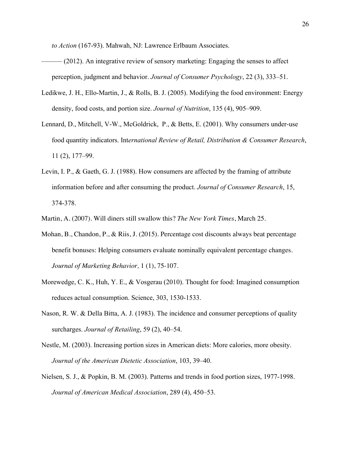*to Action* (167-93). Mahwah, NJ: Lawrence Erlbaum Associates.

- $-(2012)$ . An integrative review of sensory marketing: Engaging the senses to affect perception, judgment and behavior. *Journal of Consumer Psychology*, 22 (3), 333–51.
- Ledikwe, J. H., Ello-Martin, J., & Rolls, B. J. (2005). Modifying the food environment: Energy density, food costs, and portion size. *Journal of Nutrition*, 135 (4), 905–909.
- Lennard, D., Mitchell, V-W., McGoldrick, P., & Betts, E. (2001). Why consumers under-use food quantity indicators. Int*ernational Review of Retail, Distribution & Consumer Research*, 11 (2), 177–99.
- Levin, I. P., & Gaeth, G. J. (1988). How consumers are affected by the framing of attribute information before and after consuming the product. *Journal of Consumer Research*, 15, 374-378.
- Martin, A. (2007). Will diners still swallow this? *The New York Times*, March 25.
- Mohan, B., Chandon, P., & Riis, J. (2015). Percentage cost discounts always beat percentage benefit bonuses: Helping consumers evaluate nominally equivalent percentage changes. *Journal of Marketing Behavior,* 1 (1), 75-107.
- Morewedge, C. K., Huh, Y. E., & Vosgerau (2010). Thought for food: Imagined consumption reduces actual consumption. Science, 303, 1530-1533.
- Nason, R. W. & Della Bitta, A. J. (1983). The incidence and consumer perceptions of quality surcharges. *Journal of Retailing*, 59 (2), 40–54.
- Nestle, M. (2003). Increasing portion sizes in American diets: More calories, more obesity. *Journal of the American Dietetic Association*, 103, 39–40.
- Nielsen, S. J., & Popkin, B. M. (2003). Patterns and trends in food portion sizes, 1977-1998. *Journal of American Medical Association*, 289 (4), 450–53.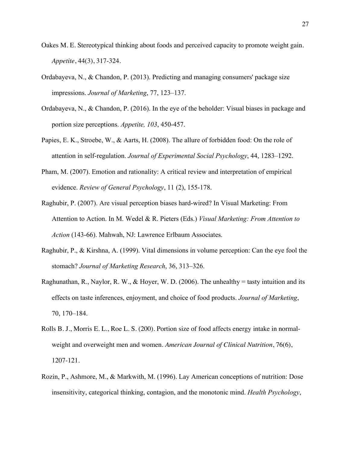- Oakes M. E. Stereotypical thinking about foods and perceived capacity to promote weight gain. *Appetite*, 44(3), 317-324.
- Ordabayeva, N., & Chandon, P. (2013). Predicting and managing consumers' package size impressions. *Journal of Marketing*, 77, 123–137.
- Ordabayeva, N., & Chandon, P. (2016). In the eye of the beholder: Visual biases in package and portion size perceptions. *Appetite, 103*, 450-457.
- Papies, E. K., Stroebe, W., & Aarts, H. (2008). The allure of forbidden food: On the role of attention in self-regulation. *Journal of Experimental Social Psychology*, 44, 1283–1292.
- Pham, M. (2007). Emotion and rationality: A critical review and interpretation of empirical evidence. *Review of General Psychology*, 11 (2), 155-178.
- Raghubir, P. (2007). Are visual perception biases hard-wired? In Visual Marketing: From Attention to Action. In M. Wedel & R. Pieters (Eds.) *Visual Marketing: From Attention to Action* (143-66). Mahwah, NJ: Lawrence Erlbaum Associates.
- Raghubir, P., & Kirshna, A. (1999). Vital dimensions in volume perception: Can the eye fool the stomach? *Journal of Marketing Research*, 36, 313–326.
- Raghunathan, R., Naylor, R. W., & Hoyer, W. D. (2006). The unhealthy = tasty intuition and its effects on taste inferences, enjoyment, and choice of food products. *Journal of Marketing*, 70, 170–184.
- Rolls B. J., Morris E. L., Roe L. S. (200). Portion size of food affects energy intake in normalweight and overweight men and women. *American Journal of Clinical Nutrition*, 76(6), 1207-121.
- Rozin, P., Ashmore, M., & Markwith, M. (1996). Lay American conceptions of nutrition: Dose insensitivity, categorical thinking, contagion, and the monotonic mind. *Health Psychology*,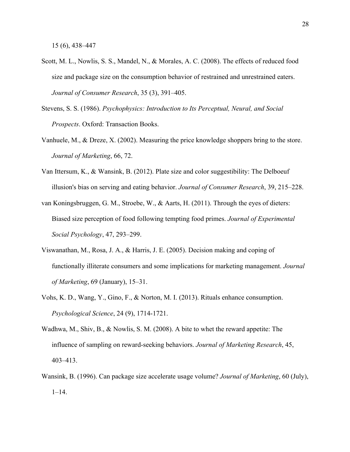- Scott, M. L., Nowlis, S. S., Mandel, N., & Morales, A. C. (2008). The effects of reduced food size and package size on the consumption behavior of restrained and unrestrained eaters. *Journal of Consumer Research*, 35 (3), 391–405.
- Stevens, S. S. (1986). *Psychophysics: Introduction to Its Perceptual, Neural, and Social Prospects*. Oxford: Transaction Books.
- Vanhuele, M., & Dreze, X. (2002). Measuring the price knowledge shoppers bring to the store. *Journal of Marketing*, 66, 72.
- Van Ittersum, K., & Wansink, B. (2012). Plate size and color suggestibility: The Delboeuf illusion's bias on serving and eating behavior. *Journal of Consumer Research*, 39, 215–228.
- van Koningsbruggen, G. M., Stroebe, W., & Aarts, H. (2011). Through the eyes of dieters: Biased size perception of food following tempting food primes. *Journal of Experimental Social Psychology*, 47, 293–299.
- Viswanathan, M., Rosa, J. A., & Harris, J. E. (2005). Decision making and coping of functionally illiterate consumers and some implications for marketing management. *Journal of Marketing*, 69 (January), 15–31.
- Vohs, K. D., Wang, Y., Gino, F., & Norton, M. I. (2013). Rituals enhance consumption. *Psychological Science*, 24 (9), 1714-1721.
- Wadhwa, M., Shiv, B., & Nowlis, S. M. (2008). A bite to whet the reward appetite: The influence of sampling on reward-seeking behaviors. *Journal of Marketing Research*, 45, 403–413.
- Wansink, B. (1996). Can package size accelerate usage volume? *Journal of Marketing*, 60 (July),  $1 - 14$ .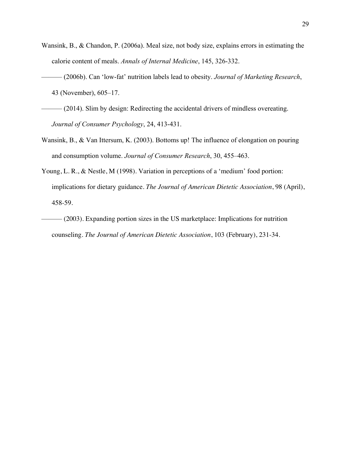- Wansink, B., & Chandon, P. (2006a). Meal size, not body size, explains errors in estimating the calorie content of meals. *Annals of Internal Medicine*, 145, 326-332.
- ——— (2006b). Can 'low-fat' nutrition labels lead to obesity. *Journal of Marketing Research*, 43 (November), 605–17.
- $-$  (2014). Slim by design: Redirecting the accidental drivers of mindless overeating. *Journal of Consumer Psychology*, 24, 413-431.
- Wansink, B., & Van Ittersum, K. (2003). Bottoms up! The influence of elongation on pouring and consumption volume. *Journal of Consumer Research*, 30, 455–463.
- Young, L. R., & Nestle, M (1998). Variation in perceptions of a 'medium' food portion: implications for dietary guidance. *The Journal of American Dietetic Association*, 98 (April), 458-59.
- (2003). Expanding portion sizes in the US marketplace: Implications for nutrition counseling. *The Journal of American Dietetic Association*, 103 (February), 231-34.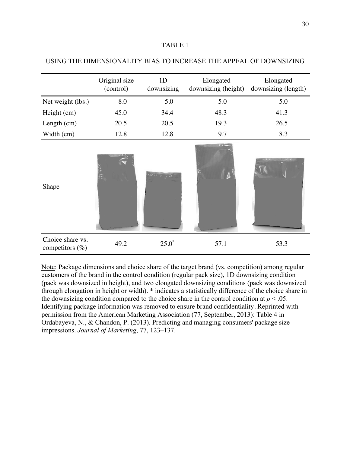#### TABLE 1

|                                        | Original size<br>(control) | 1D<br>downsizing | Elongated<br>downsizing (height) | Elongated<br>downsizing (length) |
|----------------------------------------|----------------------------|------------------|----------------------------------|----------------------------------|
| Net weight (lbs.)                      | 8.0                        | 5.0              | 5.0                              | 5.0                              |
| Height (cm)                            | 45.0                       | 34.4             | 48.3                             | 41.3                             |
| Length (cm)                            | 20.5                       | 20.5             | 19.3                             | 26.5                             |
| Width (cm)                             | 12.8                       | 12.8             | 9.7                              | 8.3                              |
| Shape                                  |                            | $-200 - 200$     | <b>Corab</b>                     |                                  |
| Choice share vs.<br>competitors $(\%)$ | 49.2                       | $25.0*$          | 57.1                             | 53.3                             |

## USING THE DIMENSIONALITY BIAS TO INCREASE THE APPEAL OF DOWNSIZING

Note: Package dimensions and choice share of the target brand (vs. competition) among regular customers of the brand in the control condition (regular pack size), 1D downsizing condition (pack was downsized in height), and two elongated downsizing conditions (pack was downsized through elongation in height or width). \* indicates a statistically difference of the choice share in the downsizing condition compared to the choice share in the control condition at  $p < .05$ . Identifying package information was removed to ensure brand confidentiality. Reprinted with permission from the American Marketing Association (77, September, 2013): Table 4 in Ordabayeva, N., & Chandon, P. (2013). Predicting and managing consumers' package size impressions. *Journal of Marketing*, 77, 123–137.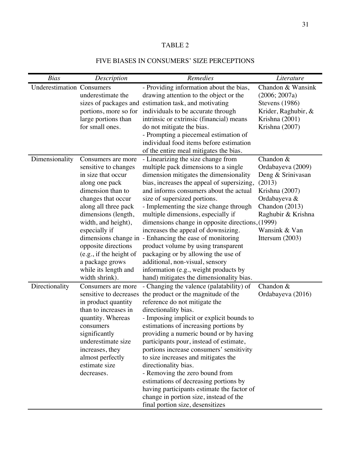# TABLE 2

# FIVE BIASES IN CONSUMERS' SIZE PERCEPTIONS

| <b>Bias</b>                      | Description                                                                                                                                                                                                                                                                                                                         | Remedies                                                                                                                                                                                                                                                                                                                                                                                                                                                                                                                                                                                                                                                                                 | Literature                                                                                                                                                                    |
|----------------------------------|-------------------------------------------------------------------------------------------------------------------------------------------------------------------------------------------------------------------------------------------------------------------------------------------------------------------------------------|------------------------------------------------------------------------------------------------------------------------------------------------------------------------------------------------------------------------------------------------------------------------------------------------------------------------------------------------------------------------------------------------------------------------------------------------------------------------------------------------------------------------------------------------------------------------------------------------------------------------------------------------------------------------------------------|-------------------------------------------------------------------------------------------------------------------------------------------------------------------------------|
| <b>Underestimation Consumers</b> | underestimate the<br>portions, more so for<br>large portions than<br>for small ones.                                                                                                                                                                                                                                                | - Providing information about the bias,<br>drawing attention to the object or the<br>sizes of packages and estimation task, and motivating<br>individuals to be accurate through<br>intrinsic or extrinsic (financial) means<br>do not mitigate the bias.<br>- Prompting a piecemeal estimation of<br>individual food items before estimation<br>of the entire meal mitigates the bias.                                                                                                                                                                                                                                                                                                  | Chandon & Wansink<br>(2006; 2007a)<br>Stevens (1986)<br>Krider, Raghubir, &<br>Krishna (2001)<br>Krishna (2007)                                                               |
| Dimensionality                   | Consumers are more<br>sensitive to changes<br>in size that occur<br>along one pack<br>dimension than to<br>changes that occur<br>along all three pack<br>dimensions (length,<br>width, and height),<br>especially if<br>opposite directions<br>(e.g., if the height of<br>a package grows<br>while its length and<br>width shrink). | - Linearizing the size change from<br>multiple pack dimensions to a single<br>dimension mitigates the dimensionality<br>bias, increases the appeal of supersizing,<br>and informs consumers about the actual<br>size of supersized portions.<br>- Implementing the size change through<br>multiple dimensions, especially if<br>dimensions change in opposite directions, (1999)<br>increases the appeal of downsizing.<br>dimensions change in - Enhancing the ease of monitoring<br>product volume by using transparent<br>packaging or by allowing the use of<br>additional, non-visual, sensory<br>information (e.g., weight products by<br>hand) mitigates the dimensionality bias. | Chandon &<br>Ordabayeva (2009)<br>Deng & Srinivasan<br>(2013)<br>Krishna (2007)<br>Ordabayeva &<br>Chandon (2013)<br>Raghubir & Krishna<br>Wansink & Van<br>Ittersum $(2003)$ |
| Directionality                   | Consumers are more<br>sensitive to decreases<br>in product quantity<br>than to increases in<br>quantity. Whereas<br>consumers<br>significantly<br>underestimate size<br>increases, they<br>almost perfectly<br>estimate size<br>decreases.                                                                                          | - Changing the valence (palatability) of<br>the product or the magnitude of the<br>reference do not mitigate the<br>directionality bias.<br>- Imposing implicit or explicit bounds to<br>estimations of increasing portions by<br>providing a numeric bound or by having<br>participants pour, instead of estimate,<br>portions increase consumers' sensitivity<br>to size increases and mitigates the<br>directionality bias.<br>- Removing the zero bound from<br>estimations of decreasing portions by<br>having participants estimate the factor of<br>change in portion size, instead of the<br>final portion size, desensitizes                                                    | Chandon &<br>Ordabayeva (2016)                                                                                                                                                |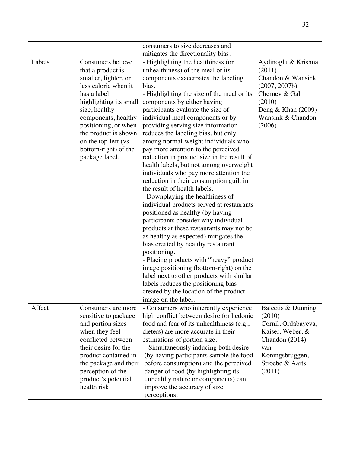|        |                                                                                                                                                                                                                                                                                           | consumers to size decreases and                                                                                                                                                                                                                                                                                                                                                                                                                                                                                                                                                                                                                                                                                                                                                                                                                                                                                                                                                                                                                                                                                                                                                                                                                 |                                                                                                                                                       |
|--------|-------------------------------------------------------------------------------------------------------------------------------------------------------------------------------------------------------------------------------------------------------------------------------------------|-------------------------------------------------------------------------------------------------------------------------------------------------------------------------------------------------------------------------------------------------------------------------------------------------------------------------------------------------------------------------------------------------------------------------------------------------------------------------------------------------------------------------------------------------------------------------------------------------------------------------------------------------------------------------------------------------------------------------------------------------------------------------------------------------------------------------------------------------------------------------------------------------------------------------------------------------------------------------------------------------------------------------------------------------------------------------------------------------------------------------------------------------------------------------------------------------------------------------------------------------|-------------------------------------------------------------------------------------------------------------------------------------------------------|
| Labels | Consumers believe<br>that a product is<br>smaller, lighter, or<br>less caloric when it<br>has a label<br>highlighting its small<br>size, healthy<br>components, healthy<br>positioning, or when<br>the product is shown<br>on the top-left (vs.<br>bottom-right) of the<br>package label. | mitigates the directionality bias.<br>- Highlighting the healthiness (or<br>unhealthiness) of the meal or its<br>components exacerbates the labeling<br>bias.<br>- Highlighting the size of the meal or its<br>components by either having<br>participants evaluate the size of<br>individual meal components or by<br>providing serving size information<br>reduces the labeling bias, but only<br>among normal-weight individuals who<br>pay more attention to the perceived<br>reduction in product size in the result of<br>health labels, but not among overweight<br>individuals who pay more attention the<br>reduction in their consumption guilt in<br>the result of health labels.<br>- Downplaying the healthiness of<br>individual products served at restaurants<br>positioned as healthy (by having<br>participants consider why individual<br>products at these restaurants may not be<br>as healthy as expected) mitigates the<br>bias created by healthy restaurant<br>positioning.<br>- Placing products with "heavy" product<br>image positioning (bottom-right) on the<br>label next to other products with similar<br>labels reduces the positioning bias<br>created by the location of the product<br>image on the label. | Aydinoglu & Krishna<br>(2011)<br>Chandon & Wansink<br>(2007, 2007b)<br>Chernev & Gal<br>(2010)<br>Deng & Khan $(2009)$<br>Wansink & Chandon<br>(2006) |
| Affect | Consumers are more<br>sensitive to package<br>and portion sizes<br>when they feel<br>conflicted between<br>their desire for the<br>product contained in<br>the package and their<br>perception of the<br>product's potential<br>health risk.                                              | - Consumers who inherently experience<br>high conflict between desire for hedonic<br>food and fear of its unhealthiness (e.g.,<br>dieters) are more accurate in their<br>estimations of portion size.<br>- Simultaneously inducing both desire<br>(by having participants sample the food<br>before consumption) and the perceived<br>danger of food (by highlighting its<br>unhealthy nature or components) can<br>improve the accuracy of size<br>perceptions.                                                                                                                                                                                                                                                                                                                                                                                                                                                                                                                                                                                                                                                                                                                                                                                | Balcetis & Dunning<br>(2010)<br>Cornil, Ordabayeva,<br>Kaiser, Weber, &<br>Chandon (2014)<br>van<br>Koningsbruggen,<br>Stroebe & Aarts<br>(2011)      |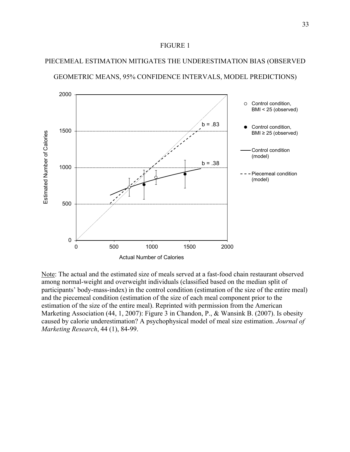## PIECEMEAL ESTIMATION MITIGATES THE UNDERESTIMATION BIAS (OBSERVED



GEOMETRIC MEANS, 95% CONFIDENCE INTERVALS, MODEL PREDICTIONS)

Note: The actual and the estimated size of meals served at a fast-food chain restaurant observed among normal-weight and overweight individuals (classified based on the median split of participants' body-mass-index) in the control condition (estimation of the size of the entire meal) and the piecemeal condition (estimation of the size of each meal component prior to the estimation of the size of the entire meal). Reprinted with permission from the American Marketing Association (44, 1, 2007): Figure 3 in Chandon, P., & Wansink B. (2007). Is obesity caused by calorie underestimation? A psychophysical model of meal size estimation. *Journal of Marketing Research*, 44 (1), 84-99.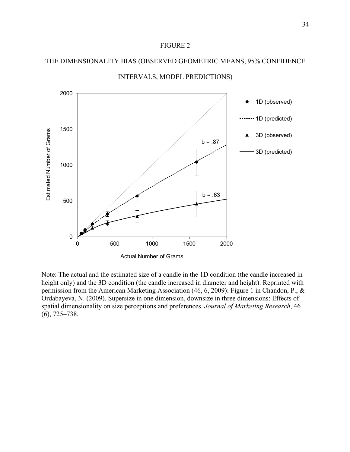THE DIMENSIONALITY BIAS (OBSERVED GEOMETRIC MEANS, 95% CONFIDENCE



INTERVALS, MODEL PREDICTIONS)

Note: The actual and the estimated size of a candle in the 1D condition (the candle increased in height only) and the 3D condition (the candle increased in diameter and height). Reprinted with permission from the American Marketing Association (46, 6, 2009): Figure 1 in Chandon, P., & Ordabayeva, N. (2009). Supersize in one dimension, downsize in three dimensions: Effects of spatial dimensionality on size perceptions and preferences. *Journal of Marketing Research*, 46 (6), 725–738.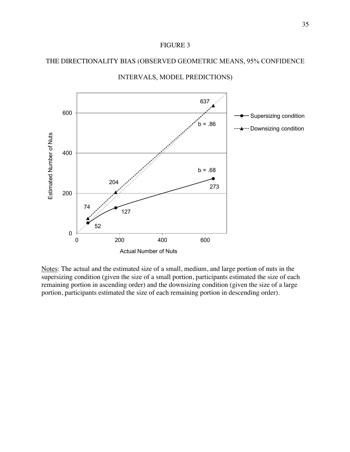## THE DIRECTIONALITY BIAS (OBSERVED GEOMETRIC MEANS, 95% CONFIDENCE



INTERVALS, MODEL PREDICTIONS)

Notes: The actual and the estimated size of a small, medium, and large portion of nuts in the supersizing condition (given the size of a small portion, participants estimated the size of each remaining portion in ascending order) and the downsizing condition (given the size of a large portion, participants estimated the size of each remaining portion in descending order).